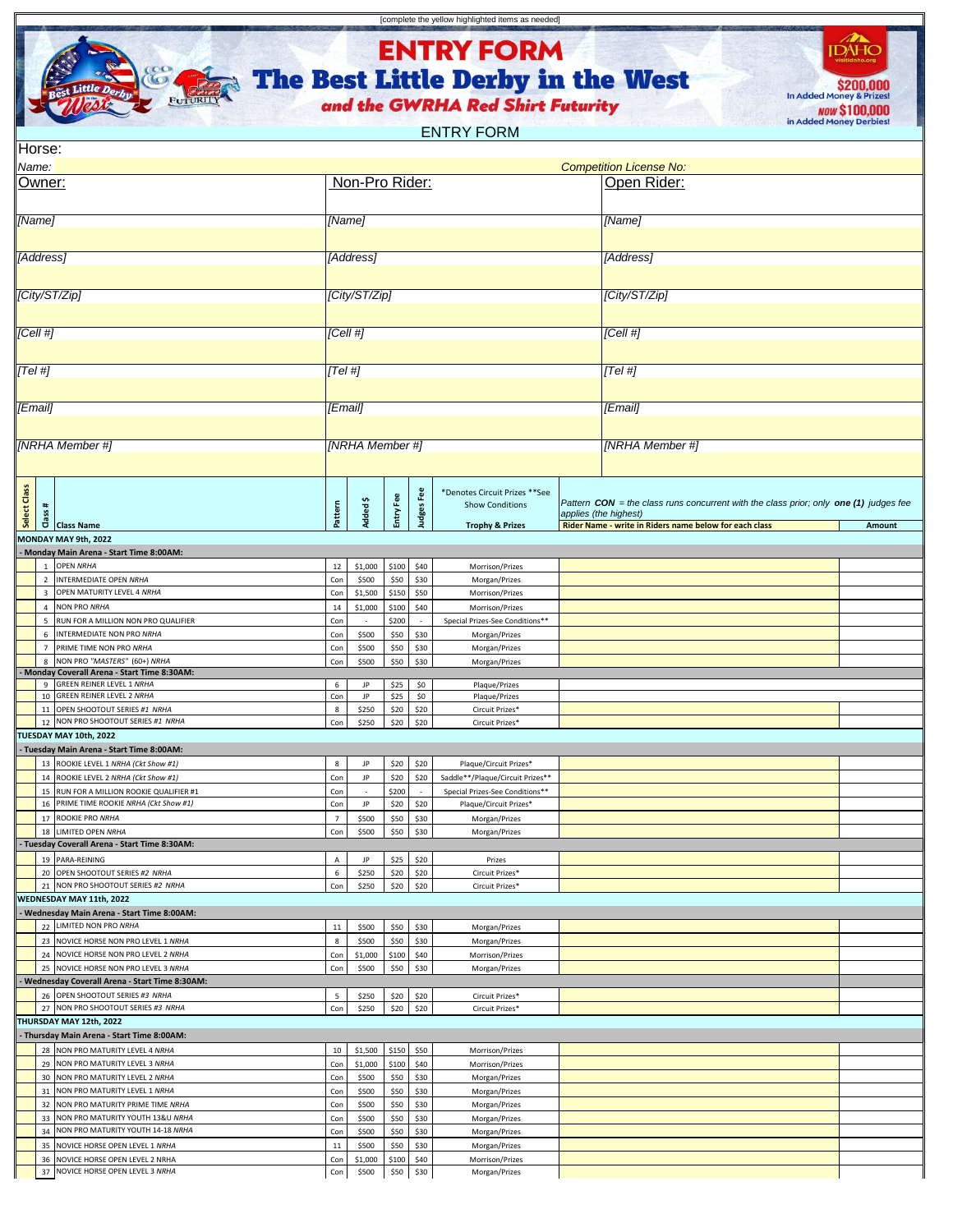

**ENTRY FORM** 

[complete the yellow highlighted items as needed]

The Best Little Derby in the West

S200,000 **NOW \$100,000** 

 $\begin{picture}(20,10) \put(0,0){\line(1,0){10}} \put(15,0){\line(1,0){10}} \put(15,0){\line(1,0){10}} \put(15,0){\line(1,0){10}} \put(15,0){\line(1,0){10}} \put(15,0){\line(1,0){10}} \put(15,0){\line(1,0){10}} \put(15,0){\line(1,0){10}} \put(15,0){\line(1,0){10}} \put(15,0){\line(1,0){10}} \put(15,0){\line(1,0){10}} \put(15,0){\line(1$ 

ENTRY FORM

| Horse:          |                                |                                                                                       |                |                    |                |                   |                                                                                        |  |                                                                                                                                                                              |        |  |
|-----------------|--------------------------------|---------------------------------------------------------------------------------------|----------------|--------------------|----------------|-------------------|----------------------------------------------------------------------------------------|--|------------------------------------------------------------------------------------------------------------------------------------------------------------------------------|--------|--|
| Name:           |                                |                                                                                       |                |                    |                |                   |                                                                                        |  | <b>Competition License No:</b>                                                                                                                                               |        |  |
| Owner:          |                                |                                                                                       |                | Non-Pro Rider:     |                |                   |                                                                                        |  | Open Rider:                                                                                                                                                                  |        |  |
| [Name]          |                                |                                                                                       |                | [Name]             |                |                   |                                                                                        |  | [Name]                                                                                                                                                                       |        |  |
| [Address]       |                                |                                                                                       |                | [Address]          |                |                   |                                                                                        |  | [Address]                                                                                                                                                                    |        |  |
| [City/ST/Zip]   |                                |                                                                                       |                | [City/ST/Zip]      |                |                   |                                                                                        |  | [City/ST/Zip]                                                                                                                                                                |        |  |
|                 |                                |                                                                                       |                |                    |                |                   |                                                                                        |  |                                                                                                                                                                              |        |  |
| [Cell #]        |                                |                                                                                       |                | [Cell #]           |                |                   |                                                                                        |  | Cell#                                                                                                                                                                        |        |  |
| [Tel #]         |                                |                                                                                       | [Tel #]        |                    |                |                   |                                                                                        |  | [Tel #]                                                                                                                                                                      |        |  |
| [Email]         |                                |                                                                                       | [Email]        |                    |                |                   |                                                                                        |  | [Email]                                                                                                                                                                      |        |  |
|                 |                                |                                                                                       |                |                    |                |                   |                                                                                        |  |                                                                                                                                                                              |        |  |
| [NRHA Member #] |                                |                                                                                       |                | [NRHA Member #]    |                |                   |                                                                                        |  | [NRHA Member #]                                                                                                                                                              |        |  |
| Select Class    |                                | #<br>ss<br>Class Name                                                                 | Pattern        | Added\$            | Entry Fee      | <b>Judges Fee</b> | *Denotes Circuit Prizes ** See<br><b>Show Conditions</b><br><b>Trophy &amp; Prizes</b> |  | Pattern $CON =$ the class runs concurrent with the class prior; only one $(1)$ judges fee<br>applies (the highest)<br>Rider Name - write in Riders name below for each class | Amount |  |
|                 |                                | MONDAY MAY 9th, 2022                                                                  |                |                    |                |                   |                                                                                        |  |                                                                                                                                                                              |        |  |
|                 |                                | Monday Main Arena - Start Time 8:00AM:                                                |                |                    |                |                   |                                                                                        |  |                                                                                                                                                                              |        |  |
|                 | $\mathbf{1}$<br>$\overline{2}$ | <b>OPEN NRHA</b><br>INTERMEDIATE OPEN NRHA                                            | 12<br>Con      | \$1,000<br>\$500   | \$100<br>\$50  | \$40<br>\$30      | Morrison/Prizes<br>Morgan/Prizes                                                       |  |                                                                                                                                                                              |        |  |
|                 | $\overline{\mathbf{3}}$        | OPEN MATURITY LEVEL 4 NRHA                                                            | Con            | \$1,500            | \$150          | \$50              | Morrison/Prizes                                                                        |  |                                                                                                                                                                              |        |  |
|                 |                                | 4 NON PRO NRHA                                                                        | 14             | \$1,000            | \$100          | \$40              | Morrison/Prizes                                                                        |  |                                                                                                                                                                              |        |  |
|                 | 5                              | RUN FOR A MILLION NON PRO QUALIFIER                                                   | Con            |                    | \$200          | ÷.                | Special Prizes-See Conditions**                                                        |  |                                                                                                                                                                              |        |  |
|                 | 6                              | INTERMEDIATE NON PRO NRHA                                                             | Con            | \$500              | \$50           | \$30              | Morgan/Prizes                                                                          |  |                                                                                                                                                                              |        |  |
|                 | $\overline{7}$<br>8            | PRIME TIME NON PRO NRHA<br>NON PRO "MASTERS" (60+) NRHA                               | Con<br>Con     | \$500<br>\$500     | \$50<br>\$50   | \$30<br>\$30      | Morgan/Prizes<br>Morgan/Prizes                                                         |  |                                                                                                                                                                              |        |  |
|                 |                                | Monday Coverall Arena - Start Time 8:30AM:                                            |                |                    |                |                   |                                                                                        |  |                                                                                                                                                                              |        |  |
|                 |                                | 9 GREEN REINER LEVEL 1 NRHA<br>10 GREEN REINER LEVEL 2 NRHA                           | 6<br>Con       | JP<br>JP           | \$25<br>\$25   | \$0<br>\$0        | Plaque/Prizes<br>Plaque/Prizes                                                         |  |                                                                                                                                                                              |        |  |
|                 | 11                             | OPEN SHOOTOUT SERIES #1 NRHA                                                          | 8              | \$250              | \$20           | \$20              | Circuit Prizes*                                                                        |  |                                                                                                                                                                              |        |  |
|                 |                                | 12 NON PRO SHOOTOUT SERIES #1 NRHA                                                    | Con            | \$250              | \$20           | \$20              | Circuit Prizes*                                                                        |  |                                                                                                                                                                              |        |  |
|                 |                                | TUESDAY MAY 10th, 2022                                                                |                |                    |                |                   |                                                                                        |  |                                                                                                                                                                              |        |  |
|                 |                                | - Tuesday Main Arena - Start Time 8:00AM:<br>13 ROOKIE LEVEL 1 NRHA (Ckt Show #1)     | 8              |                    |                | \$20              |                                                                                        |  |                                                                                                                                                                              |        |  |
|                 |                                | 14 ROOKIE LEVEL 2 NRHA (Ckt Show #1)                                                  | Con            | JP<br>JP           | \$20<br>\$20   | \$20              | Plaque/Circuit Prizes*<br>Saddle**/Plaque/Circuit Prizes**                             |  |                                                                                                                                                                              |        |  |
|                 |                                | 15 RUN FOR A MILLION ROOKIE QUALIFIER #1                                              | Con            |                    | \$200          | $\sim$            | Special Prizes-See Conditions**                                                        |  |                                                                                                                                                                              |        |  |
|                 | 16                             | PRIME TIME ROOKIE NRHA (Ckt Show #1)                                                  | Con            | JP                 | \$20           | \$20              | Plaque/Circuit Prizes*                                                                 |  |                                                                                                                                                                              |        |  |
|                 | 17                             | ROOKIE PRO NRHA                                                                       | $\overline{7}$ | \$500              | \$50           | \$30              | Morgan/Prizes                                                                          |  |                                                                                                                                                                              |        |  |
|                 |                                | 18 LIMITED OPEN NRHA<br>- Tuesday Coverall Arena - Start Time 8:30AM:                 | Con            | \$500              | \$50           | \$30              | Morgan/Prizes                                                                          |  |                                                                                                                                                                              |        |  |
|                 |                                | 19 PARA-REINING                                                                       | А              | JP                 | \$25           | \$20              | Prizes                                                                                 |  |                                                                                                                                                                              |        |  |
|                 |                                | 20 OPEN SHOOTOUT SERIES #2 NRHA                                                       | 6              | \$250              | \$20           | \$20              | Circuit Prizes*                                                                        |  |                                                                                                                                                                              |        |  |
|                 |                                | 21 NON PRO SHOOTOUT SERIES #2 NRHA                                                    | Con            | \$250              | \$20           | \$20              | Circuit Prizes*                                                                        |  |                                                                                                                                                                              |        |  |
|                 |                                | WEDNESDAY MAY 11th, 2022<br>Wednesday Main Arena - Start Time 8:00AM:                 |                |                    |                |                   |                                                                                        |  |                                                                                                                                                                              |        |  |
|                 |                                | 22 LIMITED NON PRO NRHA                                                               | $11\,$         | \$500              | \$50           | \$30              | Morgan/Prizes                                                                          |  |                                                                                                                                                                              |        |  |
|                 |                                | 23 NOVICE HORSE NON PRO LEVEL 1 NRHA                                                  | $\bf 8$        | \$500              | \$50           | \$30              | Morgan/Prizes                                                                          |  |                                                                                                                                                                              |        |  |
|                 |                                | 24 NOVICE HORSE NON PRO LEVEL 2 NRHA                                                  | Con            | \$1,000            | \$100          | \$40              | Morrison/Prizes                                                                        |  |                                                                                                                                                                              |        |  |
|                 |                                | 25 NOVICE HORSE NON PRO LEVEL 3 NRHA<br>Wednesday Coverall Arena - Start Time 8:30AM: | Con            | \$500              | \$50           | \$30              | Morgan/Prizes                                                                          |  |                                                                                                                                                                              |        |  |
|                 |                                | 26 OPEN SHOOTOUT SERIES #3 NRHA                                                       | 5              | \$250              | \$20           | \$20              | Circuit Prizes*                                                                        |  |                                                                                                                                                                              |        |  |
|                 |                                | 27 NON PRO SHOOTOUT SERIES #3 NRHA                                                    | Con            | \$250              | \$20           | \$20              | Circuit Prizes*                                                                        |  |                                                                                                                                                                              |        |  |
|                 |                                | THURSDAY MAY 12th, 2022                                                               |                |                    |                |                   |                                                                                        |  |                                                                                                                                                                              |        |  |
|                 |                                | - Thursday Main Arena - Start Time 8:00AM:                                            |                |                    |                |                   |                                                                                        |  |                                                                                                                                                                              |        |  |
|                 |                                | 28 NON PRO MATURITY LEVEL 4 NRHA<br>29 NON PRO MATURITY LEVEL 3 NRHA                  | 10<br>Con      | \$1,500<br>\$1,000 | \$150<br>\$100 | \$50<br>\$40      | Morrison/Prizes                                                                        |  |                                                                                                                                                                              |        |  |
|                 |                                | 30 NON PRO MATURITY LEVEL 2 NRHA                                                      | Con            | \$500              | \$50           | \$30              | Morrison/Prizes<br>Morgan/Prizes                                                       |  |                                                                                                                                                                              |        |  |
|                 |                                | 31 NON PRO MATURITY LEVEL 1 NRHA                                                      | Con            | \$500              | \$50           | \$30              | Morgan/Prizes                                                                          |  |                                                                                                                                                                              |        |  |
|                 |                                | 32 NON PRO MATURITY PRIME TIME NRHA                                                   | Con            | \$500              | \$50           | \$30              | Morgan/Prizes                                                                          |  |                                                                                                                                                                              |        |  |
|                 |                                | 33 NON PRO MATURITY YOUTH 13&U NRHA                                                   | Con            | \$500              | \$50           | \$30              | Morgan/Prizes                                                                          |  |                                                                                                                                                                              |        |  |
|                 | 34<br>35                       | NON PRO MATURITY YOUTH 14-18 NRHA<br>NOVICE HORSE OPEN LEVEL 1 NRHA                   | Con<br>11      | \$500<br>\$500     | \$50<br>\$50   | \$30<br>\$30      | Morgan/Prizes                                                                          |  |                                                                                                                                                                              |        |  |
|                 | 36                             | NOVICE HORSE OPEN LEVEL 2 NRHA                                                        | Con            | \$1,000            | \$100          | \$40              | Morgan/Prizes<br>Morrison/Prizes                                                       |  |                                                                                                                                                                              |        |  |
|                 | 37                             | NOVICE HORSE OPEN LEVEL 3 NRHA                                                        | Con            | \$500              | \$50           | \$30              | Morgan/Prizes                                                                          |  |                                                                                                                                                                              |        |  |